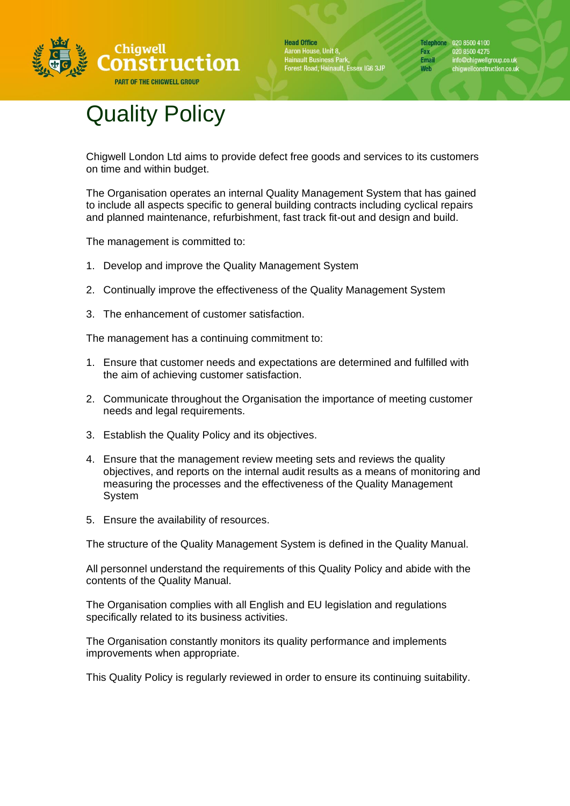

**Head Office** Aaron House, Unit 8,<br>Hainault Business Park,<br>Forest Road, Hainault, Essex IG6 3JP Telephone 020 8500 4100 Fax 020 8500 4275 info@chigwellgroup.co.uk<br>chigwellconstruction.co.uk **Email** Web

# Quality Policy

Chigwell London Ltd aims to provide defect free goods and services to its customers on time and within budget.

The Organisation operates an internal Quality Management System that has gained to include all aspects specific to general building contracts including cyclical repairs and planned maintenance, refurbishment, fast track fit-out and design and build.

The management is committed to:

- 1. Develop and improve the Quality Management System
- 2. Continually improve the effectiveness of the Quality Management System
- 3. The enhancement of customer satisfaction.

The management has a continuing commitment to:

- 1. Ensure that customer needs and expectations are determined and fulfilled with the aim of achieving customer satisfaction.
- 2. Communicate throughout the Organisation the importance of meeting customer needs and legal requirements.
- 3. Establish the Quality Policy and its objectives.
- 4. Ensure that the management review meeting sets and reviews the quality objectives, and reports on the internal audit results as a means of monitoring and measuring the processes and the effectiveness of the Quality Management System
- 5. Ensure the availability of resources.

The structure of the Quality Management System is defined in the Quality Manual.

All personnel understand the requirements of this Quality Policy and abide with the contents of the Quality Manual.

The Organisation complies with all English and EU legislation and regulations specifically related to its business activities.

The Organisation constantly monitors its quality performance and implements improvements when appropriate.

This Quality Policy is regularly reviewed in order to ensure its continuing suitability.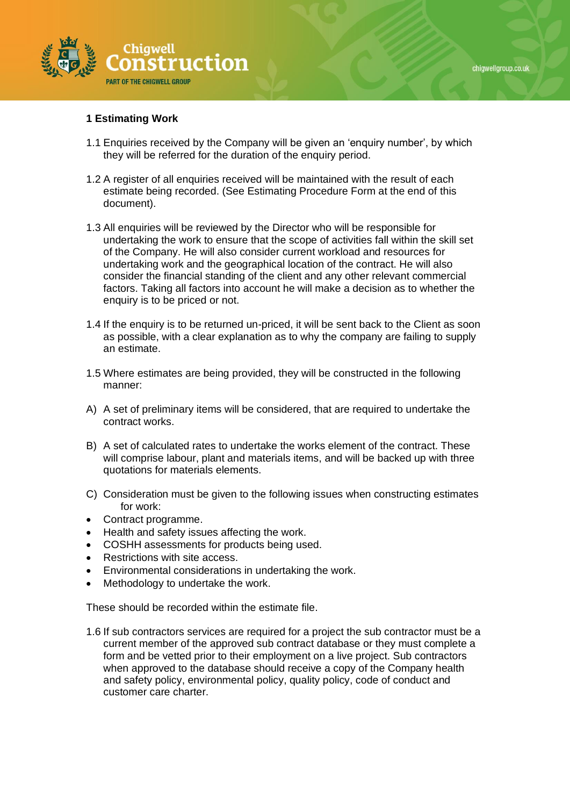



# **1 Estimating Work**

- 1.1 Enquiries received by the Company will be given an 'enquiry number', by which they will be referred for the duration of the enquiry period.
- 1.2 A register of all enquiries received will be maintained with the result of each estimate being recorded. (See Estimating Procedure Form at the end of this document).
- 1.3 All enquiries will be reviewed by the Director who will be responsible for undertaking the work to ensure that the scope of activities fall within the skill set of the Company. He will also consider current workload and resources for undertaking work and the geographical location of the contract. He will also consider the financial standing of the client and any other relevant commercial factors. Taking all factors into account he will make a decision as to whether the enquiry is to be priced or not.
- 1.4 If the enquiry is to be returned un-priced, it will be sent back to the Client as soon as possible, with a clear explanation as to why the company are failing to supply an estimate.
- 1.5 Where estimates are being provided, they will be constructed in the following manner:
- A) A set of preliminary items will be considered, that are required to undertake the contract works.
- B) A set of calculated rates to undertake the works element of the contract. These will comprise labour, plant and materials items, and will be backed up with three quotations for materials elements.
- C) Consideration must be given to the following issues when constructing estimates for work:
- Contract programme.
- Health and safety issues affecting the work.
- COSHH assessments for products being used.
- Restrictions with site access.
- Environmental considerations in undertaking the work.
- Methodology to undertake the work.

These should be recorded within the estimate file.

1.6 If sub contractors services are required for a project the sub contractor must be a current member of the approved sub contract database or they must complete a form and be vetted prior to their employment on a live project. Sub contractors when approved to the database should receive a copy of the Company health and safety policy, environmental policy, quality policy, code of conduct and customer care charter.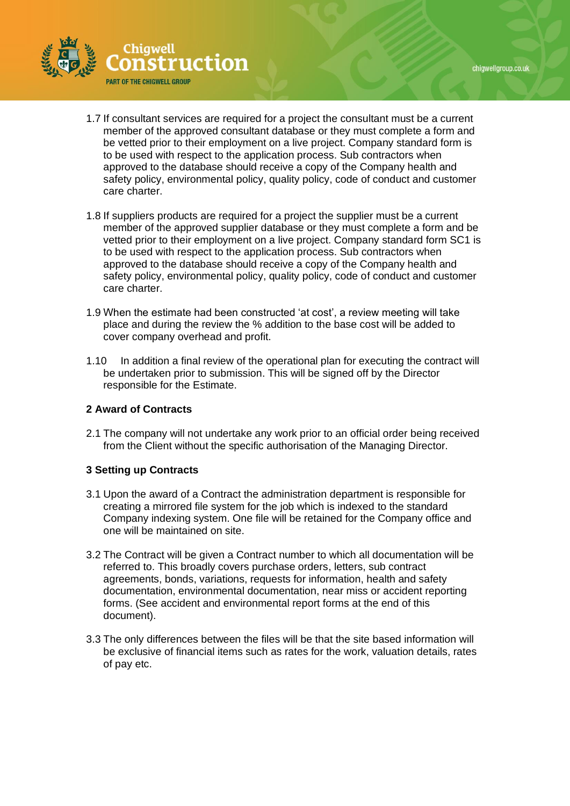

- 1.7 If consultant services are required for a project the consultant must be a current member of the approved consultant database or they must complete a form and be vetted prior to their employment on a live project. Company standard form is to be used with respect to the application process. Sub contractors when approved to the database should receive a copy of the Company health and safety policy, environmental policy, quality policy, code of conduct and customer care charter.
- 1.8 If suppliers products are required for a project the supplier must be a current member of the approved supplier database or they must complete a form and be vetted prior to their employment on a live project. Company standard form SC1 is to be used with respect to the application process. Sub contractors when approved to the database should receive a copy of the Company health and safety policy, environmental policy, quality policy, code of conduct and customer care charter.
- 1.9 When the estimate had been constructed 'at cost', a review meeting will take place and during the review the % addition to the base cost will be added to cover company overhead and profit.
- 1.10 In addition a final review of the operational plan for executing the contract will be undertaken prior to submission. This will be signed off by the Director responsible for the Estimate.

## **2 Award of Contracts**

2.1 The company will not undertake any work prior to an official order being received from the Client without the specific authorisation of the Managing Director.

#### **3 Setting up Contracts**

- 3.1 Upon the award of a Contract the administration department is responsible for creating a mirrored file system for the job which is indexed to the standard Company indexing system. One file will be retained for the Company office and one will be maintained on site.
- 3.2 The Contract will be given a Contract number to which all documentation will be referred to. This broadly covers purchase orders, letters, sub contract agreements, bonds, variations, requests for information, health and safety documentation, environmental documentation, near miss or accident reporting forms. (See accident and environmental report forms at the end of this document).
- 3.3 The only differences between the files will be that the site based information will be exclusive of financial items such as rates for the work, valuation details, rates of pay etc.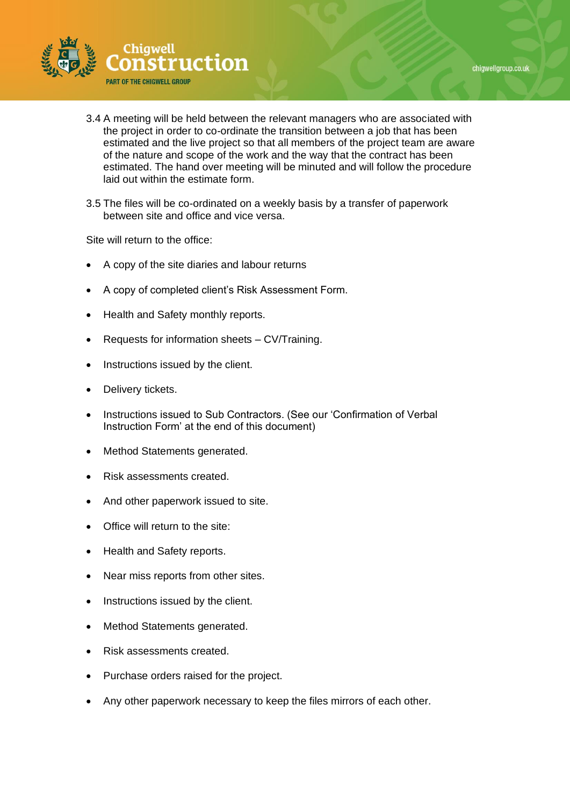

- 3.4 A meeting will be held between the relevant managers who are associated with the project in order to co-ordinate the transition between a job that has been estimated and the live project so that all members of the project team are aware of the nature and scope of the work and the way that the contract has been estimated. The hand over meeting will be minuted and will follow the procedure laid out within the estimate form.
- 3.5 The files will be co-ordinated on a weekly basis by a transfer of paperwork between site and office and vice versa.

Site will return to the office:

- A copy of the site diaries and labour returns
- A copy of completed client's Risk Assessment Form.
- Health and Safety monthly reports.
- Requests for information sheets CV/Training.
- Instructions issued by the client.
- Delivery tickets.
- Instructions issued to Sub Contractors. (See our 'Confirmation of Verbal Instruction Form' at the end of this document)
- Method Statements generated.
- Risk assessments created.
- And other paperwork issued to site.
- Office will return to the site:
- Health and Safety reports.
- Near miss reports from other sites.
- Instructions issued by the client.
- Method Statements generated.
- Risk assessments created.
- Purchase orders raised for the project.
- Any other paperwork necessary to keep the files mirrors of each other.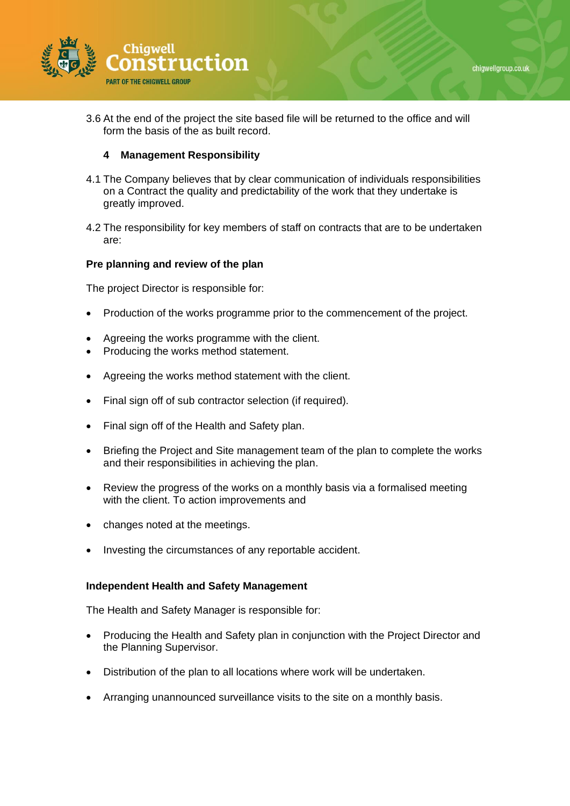

3.6 At the end of the project the site based file will be returned to the office and will form the basis of the as built record.

#### **4 Management Responsibility**

- 4.1 The Company believes that by clear communication of individuals responsibilities on a Contract the quality and predictability of the work that they undertake is greatly improved.
- 4.2 The responsibility for key members of staff on contracts that are to be undertaken are:

#### **Pre planning and review of the plan**

The project Director is responsible for:

- Production of the works programme prior to the commencement of the project.
- Agreeing the works programme with the client.
- Producing the works method statement.
- Agreeing the works method statement with the client.
- Final sign off of sub contractor selection (if required).
- Final sign off of the Health and Safety plan.
- Briefing the Project and Site management team of the plan to complete the works and their responsibilities in achieving the plan.
- Review the progress of the works on a monthly basis via a formalised meeting with the client. To action improvements and
- changes noted at the meetings.
- Investing the circumstances of any reportable accident.

#### **Independent Health and Safety Management**

The Health and Safety Manager is responsible for:

- Producing the Health and Safety plan in conjunction with the Project Director and the Planning Supervisor.
- Distribution of the plan to all locations where work will be undertaken.
- Arranging unannounced surveillance visits to the site on a monthly basis.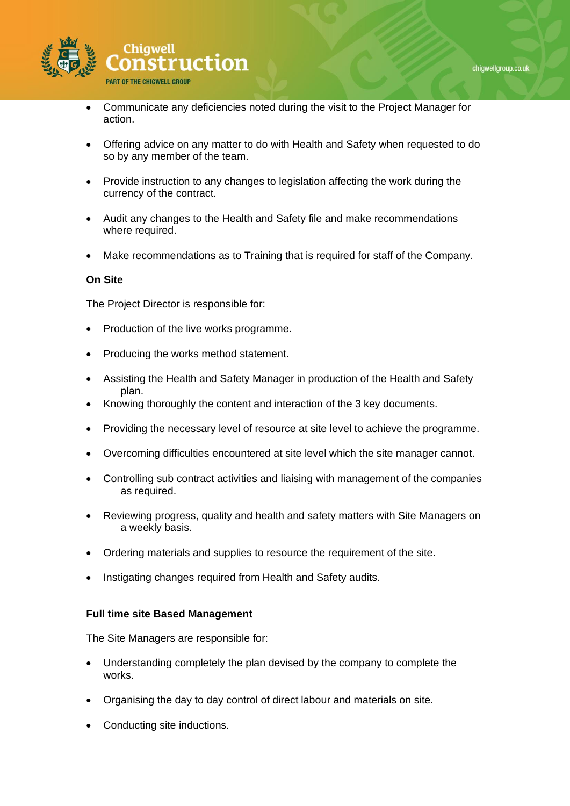

- Communicate any deficiencies noted during the visit to the Project Manager for action.
- Offering advice on any matter to do with Health and Safety when requested to do so by any member of the team.
- Provide instruction to any changes to legislation affecting the work during the currency of the contract.
- Audit any changes to the Health and Safety file and make recommendations where required.
- Make recommendations as to Training that is required for staff of the Company.

## **On Site**

The Project Director is responsible for:

- Production of the live works programme.
- Producing the works method statement.
- Assisting the Health and Safety Manager in production of the Health and Safety plan.
- Knowing thoroughly the content and interaction of the 3 key documents.
- Providing the necessary level of resource at site level to achieve the programme.
- Overcoming difficulties encountered at site level which the site manager cannot.
- Controlling sub contract activities and liaising with management of the companies as required.
- Reviewing progress, quality and health and safety matters with Site Managers on a weekly basis.
- Ordering materials and supplies to resource the requirement of the site.
- Instigating changes required from Health and Safety audits.

## **Full time site Based Management**

The Site Managers are responsible for:

- Understanding completely the plan devised by the company to complete the works.
- Organising the day to day control of direct labour and materials on site.
- Conducting site inductions.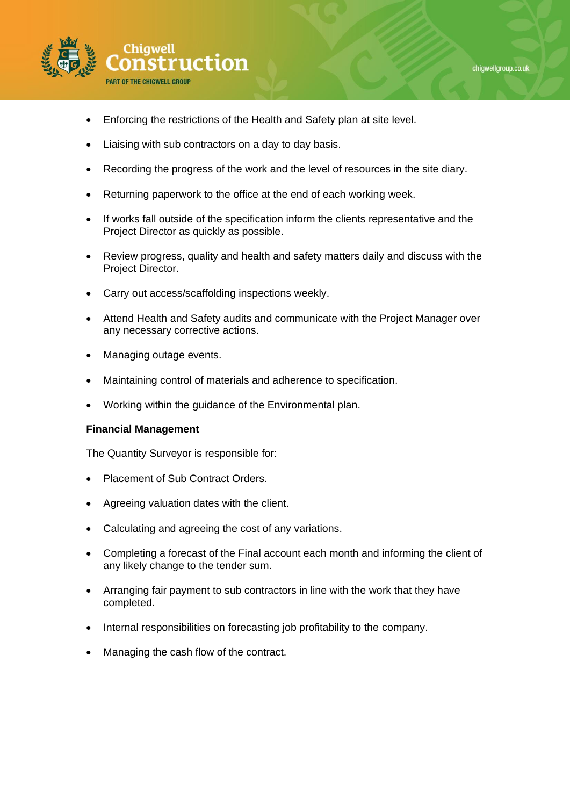



- Enforcing the restrictions of the Health and Safety plan at site level.
- Liaising with sub contractors on a day to day basis.
- Recording the progress of the work and the level of resources in the site diary.
- Returning paperwork to the office at the end of each working week.
- If works fall outside of the specification inform the clients representative and the Project Director as quickly as possible.
- Review progress, quality and health and safety matters daily and discuss with the Project Director.
- Carry out access/scaffolding inspections weekly.
- Attend Health and Safety audits and communicate with the Project Manager over any necessary corrective actions.
- Managing outage events.
- Maintaining control of materials and adherence to specification.
- Working within the guidance of the Environmental plan.

#### **Financial Management**

The Quantity Surveyor is responsible for:

- Placement of Sub Contract Orders.
- Agreeing valuation dates with the client.
- Calculating and agreeing the cost of any variations.
- Completing a forecast of the Final account each month and informing the client of any likely change to the tender sum.
- Arranging fair payment to sub contractors in line with the work that they have completed.
- Internal responsibilities on forecasting job profitability to the company.
- Managing the cash flow of the contract.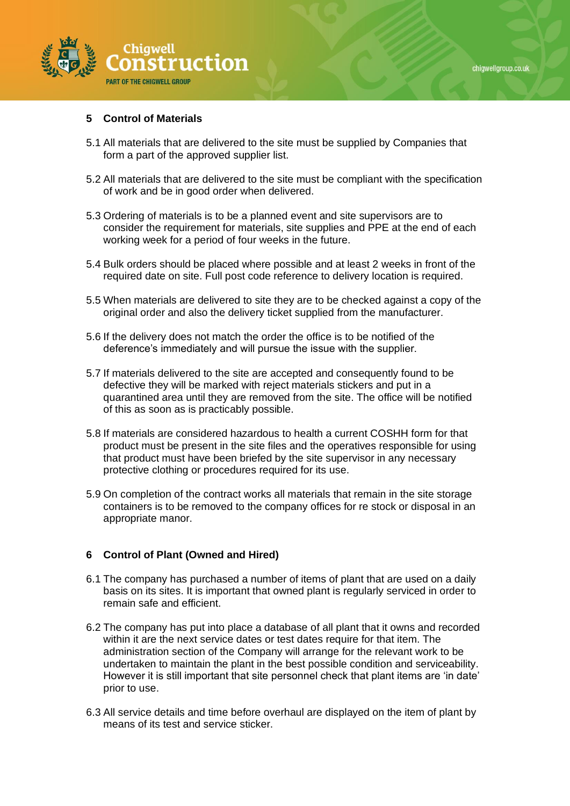



# **5 Control of Materials**

- 5.1 All materials that are delivered to the site must be supplied by Companies that form a part of the approved supplier list.
- 5.2 All materials that are delivered to the site must be compliant with the specification of work and be in good order when delivered.
- 5.3 Ordering of materials is to be a planned event and site supervisors are to consider the requirement for materials, site supplies and PPE at the end of each working week for a period of four weeks in the future.
- 5.4 Bulk orders should be placed where possible and at least 2 weeks in front of the required date on site. Full post code reference to delivery location is required.
- 5.5 When materials are delivered to site they are to be checked against a copy of the original order and also the delivery ticket supplied from the manufacturer.
- 5.6 If the delivery does not match the order the office is to be notified of the deference's immediately and will pursue the issue with the supplier.
- 5.7 If materials delivered to the site are accepted and consequently found to be defective they will be marked with reject materials stickers and put in a quarantined area until they are removed from the site. The office will be notified of this as soon as is practicably possible.
- 5.8 If materials are considered hazardous to health a current COSHH form for that product must be present in the site files and the operatives responsible for using that product must have been briefed by the site supervisor in any necessary protective clothing or procedures required for its use.
- 5.9 On completion of the contract works all materials that remain in the site storage containers is to be removed to the company offices for re stock or disposal in an appropriate manor.

## **6 Control of Plant (Owned and Hired)**

- 6.1 The company has purchased a number of items of plant that are used on a daily basis on its sites. It is important that owned plant is regularly serviced in order to remain safe and efficient.
- 6.2 The company has put into place a database of all plant that it owns and recorded within it are the next service dates or test dates require for that item. The administration section of the Company will arrange for the relevant work to be undertaken to maintain the plant in the best possible condition and serviceability. However it is still important that site personnel check that plant items are 'in date' prior to use.
- 6.3 All service details and time before overhaul are displayed on the item of plant by means of its test and service sticker.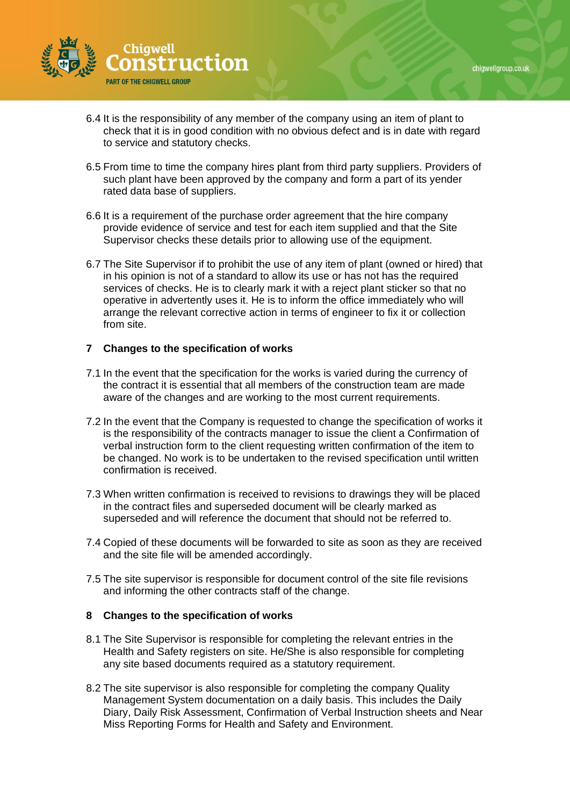

- 6.4 It is the responsibility of any member of the company using an item of plant to check that it is in good condition with no obvious defect and is in date with regard to service and statutory checks.
- 6.5 From time to time the company hires plant from third party suppliers. Providers of such plant have been approved by the company and form a part of its yender rated data base of suppliers.
- 6.6 It is a requirement of the purchase order agreement that the hire company provide evidence of service and test for each item supplied and that the Site Supervisor checks these details prior to allowing use of the equipment.
- 6.7 The Site Supervisor if to prohibit the use of any item of plant (owned or hired) that in his opinion is not of a standard to allow its use or has not has the required services of checks. He is to clearly mark it with a reject plant sticker so that no operative in advertently uses it. He is to inform the office immediately who will arrange the relevant corrective action in terms of engineer to fix it or collection from site.

## **7 Changes to the specification of works**

- 7.1 In the event that the specification for the works is varied during the currency of the contract it is essential that all members of the construction team are made aware of the changes and are working to the most current requirements.
- 7.2 In the event that the Company is requested to change the specification of works it is the responsibility of the contracts manager to issue the client a Confirmation of verbal instruction form to the client requesting written confirmation of the item to be changed. No work is to be undertaken to the revised specification until written confirmation is received.
- 7.3 When written confirmation is received to revisions to drawings they will be placed in the contract files and superseded document will be clearly marked as superseded and will reference the document that should not be referred to.
- 7.4 Copied of these documents will be forwarded to site as soon as they are received and the site file will be amended accordingly.
- 7.5 The site supervisor is responsible for document control of the site file revisions and informing the other contracts staff of the change.

#### **8 Changes to the specification of works**

- 8.1 The Site Supervisor is responsible for completing the relevant entries in the Health and Safety registers on site. He/She is also responsible for completing any site based documents required as a statutory requirement.
- 8.2 The site supervisor is also responsible for completing the company Quality Management System documentation on a daily basis. This includes the Daily Diary, Daily Risk Assessment, Confirmation of Verbal Instruction sheets and Near Miss Reporting Forms for Health and Safety and Environment.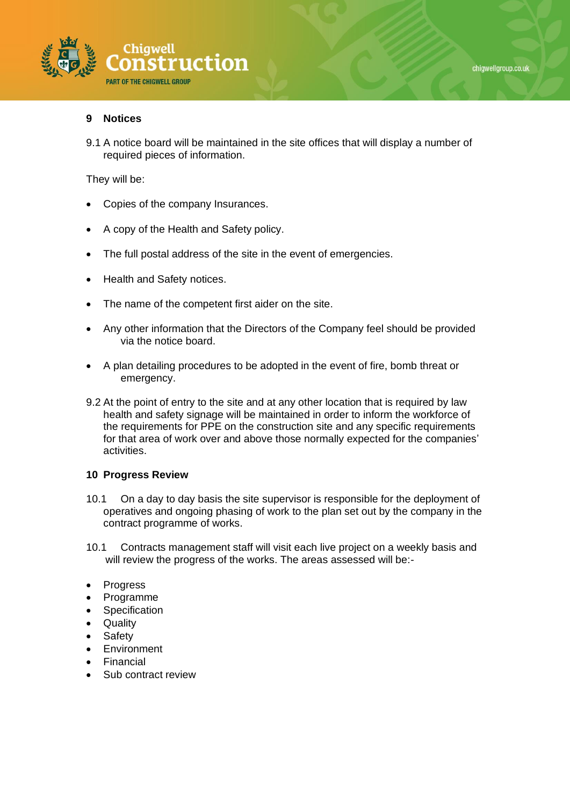



# **9 Notices**

9.1 A notice board will be maintained in the site offices that will display a number of required pieces of information.

They will be:

- Copies of the company Insurances.
- A copy of the Health and Safety policy.
- The full postal address of the site in the event of emergencies.
- Health and Safety notices.
- The name of the competent first aider on the site.
- Any other information that the Directors of the Company feel should be provided via the notice board.
- A plan detailing procedures to be adopted in the event of fire, bomb threat or emergency.
- 9.2 At the point of entry to the site and at any other location that is required by law health and safety signage will be maintained in order to inform the workforce of the requirements for PPE on the construction site and any specific requirements for that area of work over and above those normally expected for the companies' activities.

#### **10 Progress Review**

- 10.1 On a day to day basis the site supervisor is responsible for the deployment of operatives and ongoing phasing of work to the plan set out by the company in the contract programme of works.
- 10.1 Contracts management staff will visit each live project on a weekly basis and will review the progress of the works. The areas assessed will be:-
- Progress
- Programme
- Specification
- **Quality**
- Safety
- Environment
- Financial
- Sub contract review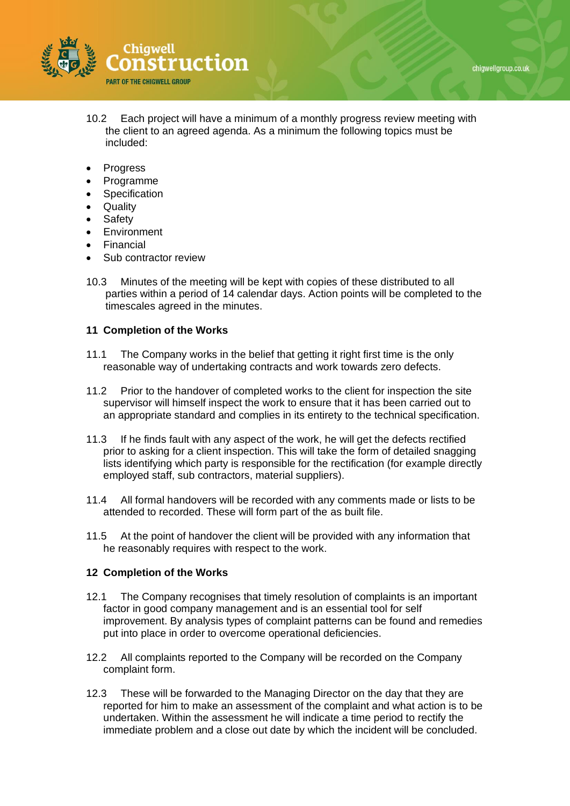

- 10.2 Each project will have a minimum of a monthly progress review meeting with the client to an agreed agenda. As a minimum the following topics must be included:
- Progress
- Programme
- Specification
- Quality
- Safety
- Environment
- **Financial**
- Sub contractor review
- 10.3 Minutes of the meeting will be kept with copies of these distributed to all parties within a period of 14 calendar days. Action points will be completed to the timescales agreed in the minutes.

## **11 Completion of the Works**

- 11.1 The Company works in the belief that getting it right first time is the only reasonable way of undertaking contracts and work towards zero defects.
- 11.2 Prior to the handover of completed works to the client for inspection the site supervisor will himself inspect the work to ensure that it has been carried out to an appropriate standard and complies in its entirety to the technical specification.
- 11.3 If he finds fault with any aspect of the work, he will get the defects rectified prior to asking for a client inspection. This will take the form of detailed snagging lists identifying which party is responsible for the rectification (for example directly employed staff, sub contractors, material suppliers).
- 11.4 All formal handovers will be recorded with any comments made or lists to be attended to recorded. These will form part of the as built file.
- 11.5 At the point of handover the client will be provided with any information that he reasonably requires with respect to the work.

#### **12 Completion of the Works**

- 12.1 The Company recognises that timely resolution of complaints is an important factor in good company management and is an essential tool for self improvement. By analysis types of complaint patterns can be found and remedies put into place in order to overcome operational deficiencies.
- 12.2 All complaints reported to the Company will be recorded on the Company complaint form.
- 12.3 These will be forwarded to the Managing Director on the day that they are reported for him to make an assessment of the complaint and what action is to be undertaken. Within the assessment he will indicate a time period to rectify the immediate problem and a close out date by which the incident will be concluded.